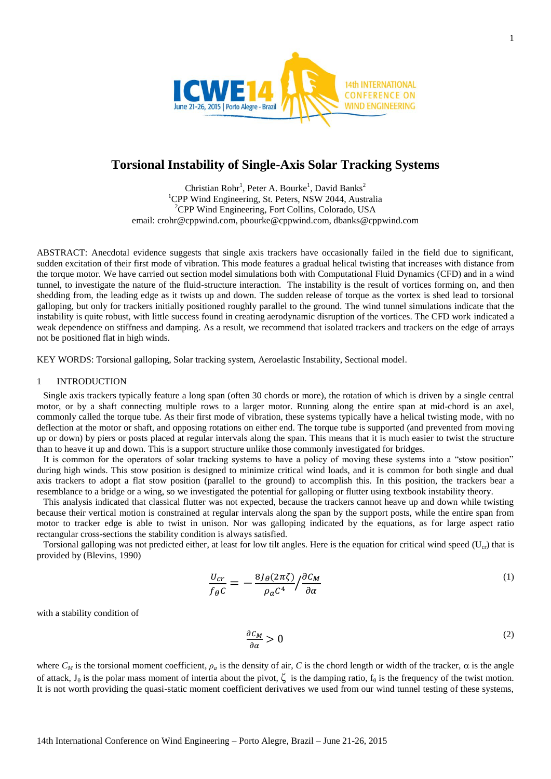

# **Torsional Instability of Single-Axis Solar Tracking Systems**

Christian Rohr<sup>1</sup>, Peter A. Bourke<sup>1</sup>, David Banks<sup>2</sup> <sup>1</sup>CPP Wind Engineering, St. Peters, NSW 2044, Australia <sup>2</sup>CPP Wind Engineering, Fort Collins, Colorado, USA email: crohr@cppwind.com, pbourke@cppwind.com, dbanks@cppwind.com

ABSTRACT: Anecdotal evidence suggests that single axis trackers have occasionally failed in the field due to significant, sudden excitation of their first mode of vibration. This mode features a gradual helical twisting that increases with distance from the torque motor. We have carried out section model simulations both with Computational Fluid Dynamics (CFD) and in a wind tunnel, to investigate the nature of the fluid-structure interaction. The instability is the result of vortices forming on, and then shedding from, the leading edge as it twists up and down. The sudden release of torque as the vortex is shed lead to torsional galloping, but only for trackers initially positioned roughly parallel to the ground. The wind tunnel simulations indicate that the instability is quite robust, with little success found in creating aerodynamic disruption of the vortices. The CFD work indicated a weak dependence on stiffness and damping. As a result, we recommend that isolated trackers and trackers on the edge of arrays not be positioned flat in high winds.

KEY WORDS: Torsional galloping, Solar tracking system, Aeroelastic Instability, Sectional model.

# 1 INTRODUCTION

Single axis trackers typically feature a long span (often 30 chords or more), the rotation of which is driven by a single central motor, or by a shaft connecting multiple rows to a larger motor. Running along the entire span at mid-chord is an axel, commonly called the torque tube. As their first mode of vibration, these systems typically have a helical twisting mode, with no deflection at the motor or shaft, and opposing rotations on either end. The torque tube is supported (and prevented from moving up or down) by piers or posts placed at regular intervals along the span. This means that it is much easier to twist the structure than to heave it up and down. This is a support structure unlike those commonly investigated for bridges.

It is common for the operators of solar tracking systems to have a policy of moving these systems into a "stow position" during high winds. This stow position is designed to minimize critical wind loads, and it is common for both single and dual axis trackers to adopt a flat stow position (parallel to the ground) to accomplish this. In this position, the trackers bear a resemblance to a bridge or a wing, so we investigated the potential for galloping or flutter using textbook instability theory.

This analysis indicated that classical flutter was not expected, because the trackers cannot heave up and down while twisting because their vertical motion is constrained at regular intervals along the span by the support posts, while the entire span from motor to tracker edge is able to twist in unison. Nor was galloping indicated by the equations, as for large aspect ratio rectangular cross-sections the stability condition is always satisfied.

Torsional galloping was not predicted either, at least for low tilt angles. Here is the equation for critical wind speed  $(U_{cr})$  that is provided by (Blevins, 1990)

$$
\frac{U_{cr}}{f_{\theta}C} = -\frac{8J_{\theta}(2\pi\zeta)}{\rho_a C^4} / \frac{\partial C_M}{\partial \alpha} \tag{1}
$$

with a stability condition of

$$
\frac{\partial c_M}{\partial \alpha} > 0 \tag{2}
$$

where  $C_M$  is the torsional moment coefficient,  $\rho_a$  is the density of air, C is the chord length or width of the tracker,  $\alpha$  is the angle of attack,  $J_\theta$  is the polar mass moment of intertia about the pivot,  $\zeta$  is the damping ratio,  $f_\theta$  is the frequency of the twist motion. It is not worth providing the quasi-static moment coefficient derivatives we used from our wind tunnel testing of these systems,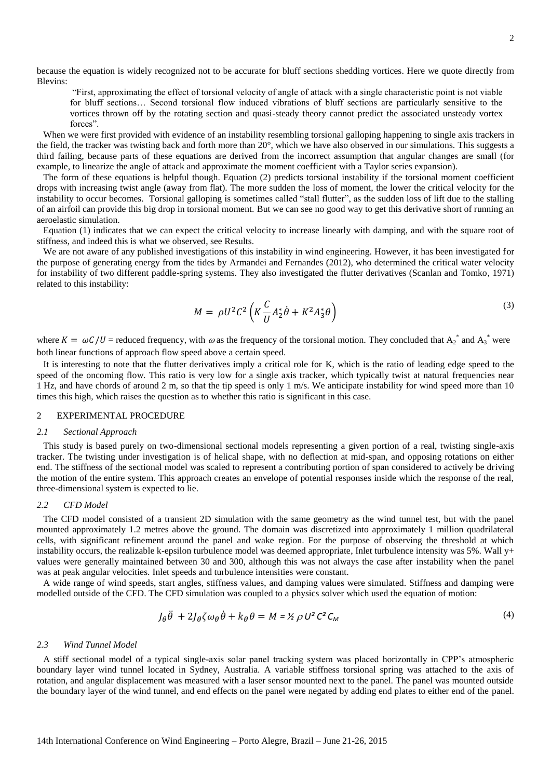because the equation is widely recognized not to be accurate for bluff sections shedding vortices. Here we quote directly from Blevins:

"First, approximating the effect of torsional velocity of angle of attack with a single characteristic point is not viable for bluff sections… Second torsional flow induced vibrations of bluff sections are particularly sensitive to the vortices thrown off by the rotating section and quasi-steady theory cannot predict the associated unsteady vortex forces".

When we were first provided with evidence of an instability resembling torsional galloping happening to single axis trackers in the field, the tracker was twisting back and forth more than 20°, which we have also observed in our simulations. This suggests a third failing, because parts of these equations are derived from the incorrect assumption that angular changes are small (for example, to linearize the angle of attack and approximate the moment coefficient with a Taylor series expansion).

The form of these equations is helpful though. Equation (2) predicts torsional instability if the torsional moment coefficient drops with increasing twist angle (away from flat). The more sudden the loss of moment, the lower the critical velocity for the instability to occur becomes. Torsional galloping is sometimes called "stall flutter", as the sudden loss of lift due to the stalling of an airfoil can provide this big drop in torsional moment. But we can see no good way to get this derivative short of running an aeroelastic simulation.

Equation (1) indicates that we can expect the critical velocity to increase linearly with damping, and with the square root of stiffness, and indeed this is what we observed, see Results.

We are not aware of any published investigations of this instability in wind engineering. However, it has been investigated for the purpose of generating energy from the tides by Armandei and Fernandes (2012), who determined the critical water velocity for instability of two different paddle-spring systems. They also investigated the flutter derivatives (Scanlan and Tomko, 1971) related to this instability:

$$
M = \rho U^2 C^2 \left( K \frac{C}{U} A_2^* \dot{\theta} + K^2 A_3^* \theta \right)
$$
\n<sup>(3)</sup>

where  $K = \omega C/U$  = reduced frequency, with  $\omega$  as the frequency of the torsional motion. They concluded that  $A_2^*$  and  $A_3^*$  were both linear functions of approach flow speed above a certain speed.

It is interesting to note that the flutter derivatives imply a critical role for K, which is the ratio of leading edge speed to the speed of the oncoming flow. This ratio is very low for a single axis tracker, which typically twist at natural frequencies near 1 Hz, and have chords of around 2 m, so that the tip speed is only 1 m/s. We anticipate instability for wind speed more than 10 times this high, which raises the question as to whether this ratio is significant in this case.

#### 2 EXPERIMENTAL PROCEDURE

## *2.1 Sectional Approach*

This study is based purely on two-dimensional sectional models representing a given portion of a real, twisting single-axis tracker. The twisting under investigation is of helical shape, with no deflection at mid-span, and opposing rotations on either end. The stiffness of the sectional model was scaled to represent a contributing portion of span considered to actively be driving the motion of the entire system. This approach creates an envelope of potential responses inside which the response of the real, three-dimensional system is expected to lie.

# *2.2 CFD Model*

The CFD model consisted of a transient 2D simulation with the same geometry as the wind tunnel test, but with the panel mounted approximately 1.2 metres above the ground. The domain was discretized into approximately 1 million quadrilateral cells, with significant refinement around the panel and wake region. For the purpose of observing the threshold at which instability occurs, the realizable k-epsilon turbulence model was deemed appropriate, Inlet turbulence intensity was 5%. Wall y+ values were generally maintained between 30 and 300, although this was not always the case after instability when the panel was at peak angular velocities. Inlet speeds and turbulence intensities were constant.

A wide range of wind speeds, start angles, stiffness values, and damping values were simulated. Stiffness and damping were modelled outside of the CFD. The CFD simulation was coupled to a physics solver which used the equation of motion:

$$
J_{\theta}\ddot{\theta} + 2J_{\theta}\zeta\omega_{\theta}\dot{\theta} + k_{\theta}\theta = M = \frac{\kappa}{2}\rho U^2 C^2 C_M
$$
\n(4)

## *2.3 Wind Tunnel Model*

A stiff sectional model of a typical single-axis solar panel tracking system was placed horizontally in CPP's atmospheric boundary layer wind tunnel located in Sydney, Australia. A variable stiffness torsional spring was attached to the axis of rotation, and angular displacement was measured with a laser sensor mounted next to the panel. The panel was mounted outside the boundary layer of the wind tunnel, and end effects on the panel were negated by adding end plates to either end of the panel.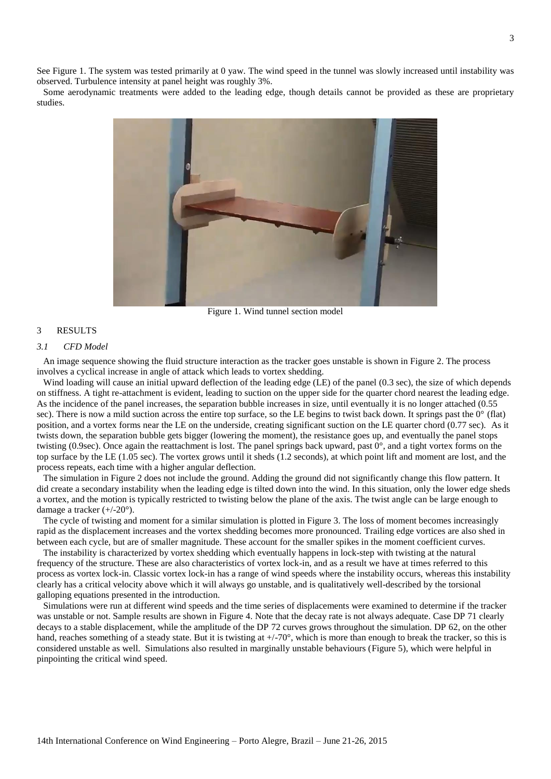See [Figure 1.](#page-2-0) The system was tested primarily at 0 yaw. The wind speed in the tunnel was slowly increased until instability was observed. Turbulence intensity at panel height was roughly 3%.

Some aerodynamic treatments were added to the leading edge, though details cannot be provided as these are proprietary studies.



Figure 1. Wind tunnel section model

# <span id="page-2-0"></span>3 RESULTS

### *3.1 CFD Model*

An image sequence showing the fluid structure interaction as the tracker goes unstable is shown in [Figure 2.](#page-3-0) The process involves a cyclical increase in angle of attack which leads to vortex shedding.

Wind loading will cause an initial upward deflection of the leading edge (LE) of the panel (0.3 sec), the size of which depends on stiffness. A tight re-attachment is evident, leading to suction on the upper side for the quarter chord nearest the leading edge. As the incidence of the panel increases, the separation bubble increases in size, until eventually it is no longer attached (0.55 sec). There is now a mild suction across the entire top surface, so the LE begins to twist back down. It springs past the  $0^{\circ}$  (flat) position, and a vortex forms near the LE on the underside, creating significant suction on the LE quarter chord (0.77 sec). As it twists down, the separation bubble gets bigger (lowering the moment), the resistance goes up, and eventually the panel stops twisting (0.9sec). Once again the reattachment is lost. The panel springs back upward, past 0°, and a tight vortex forms on the top surface by the LE (1.05 sec). The vortex grows until it sheds (1.2 seconds), at which point lift and moment are lost, and the process repeats, each time with a higher angular deflection.

The simulation in [Figure 2](#page-3-0) does not include the ground. Adding the ground did not significantly change this flow pattern. It did create a secondary instability when the leading edge is tilted down into the wind. In this situation, only the lower edge sheds a vortex, and the motion is typically restricted to twisting below the plane of the axis. The twist angle can be large enough to damage a tracker (+/-20°).

The cycle of twisting and moment for a similar simulation is plotted in [Figure 3.](#page-4-0) The loss of moment becomes increasingly rapid as the displacement increases and the vortex shedding becomes more pronounced. Trailing edge vortices are also shed in between each cycle, but are of smaller magnitude. These account for the smaller spikes in the moment coefficient curves.

The instability is characterized by vortex shedding which eventually happens in lock-step with twisting at the natural frequency of the structure. These are also characteristics of vortex lock-in, and as a result we have at times referred to this process as vortex lock-in. Classic vortex lock-in has a range of wind speeds where the instability occurs, whereas this instability clearly has a critical velocity above which it will always go unstable, and is qualitatively well-described by the torsional galloping equations presented in the introduction.

Simulations were run at different wind speeds and the time series of displacements were examined to determine if the tracker was unstable or not. Sample results are shown in [Figure 4.](#page-4-1) Note that the decay rate is not always adequate. Case DP 71 clearly decays to a stable displacement, while the amplitude of the DP 72 curves grows throughout the simulation. DP 62, on the other hand, reaches something of a steady state. But it is twisting at  $+/-70^{\circ}$ , which is more than enough to break the tracker, so this is considered unstable as well. Simulations also resulted in marginally unstable behaviours [\(Figure 5\)](#page-4-2), which were helpful in pinpointing the critical wind speed.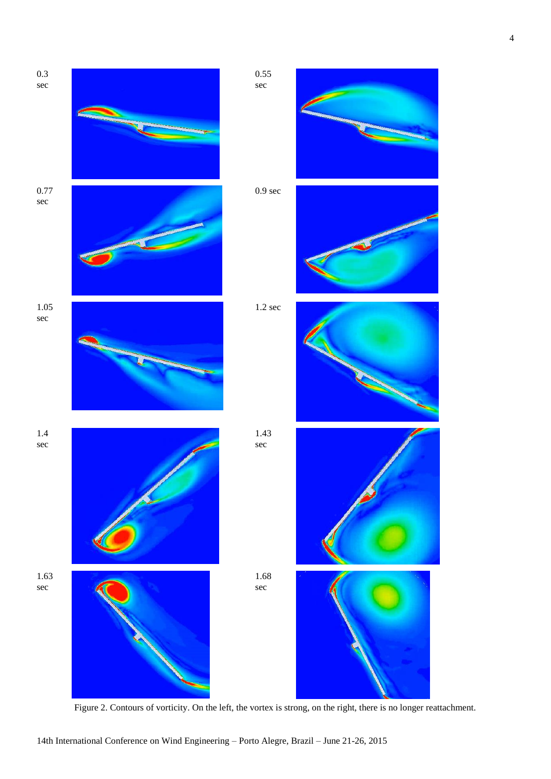

<span id="page-3-0"></span>Figure 2. Contours of vorticity. On the left, the vortex is strong, on the right, there is no longer reattachment.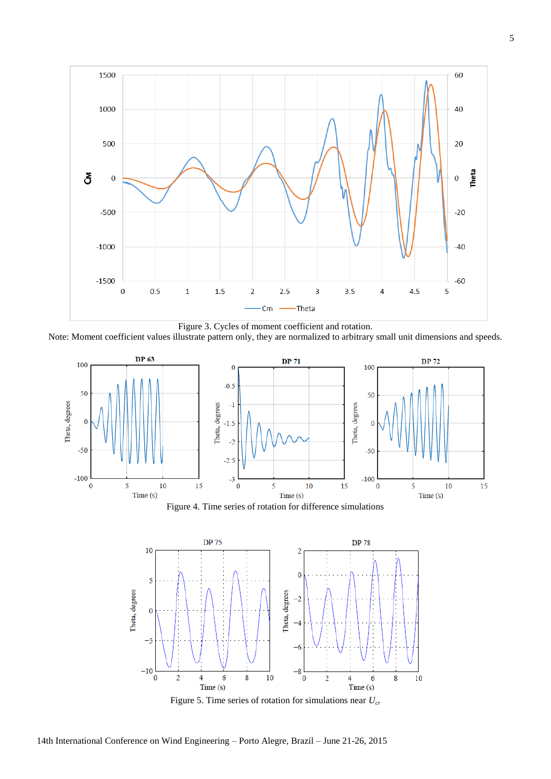

<span id="page-4-0"></span>Note: Moment coefficient values illustrate pattern only, they are normalized to arbitrary small unit dimensions and speeds.



Figure 4. Time series of rotation for difference simulations

<span id="page-4-1"></span>

<span id="page-4-2"></span>Figure 5. Time series of rotation for simulations near *Ucr*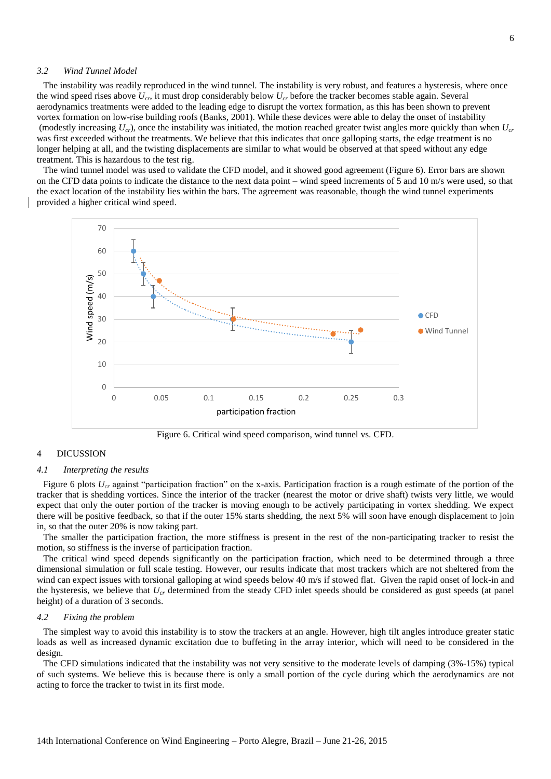# *3.2 Wind Tunnel Model*

The instability was readily reproduced in the wind tunnel. The instability is very robust, and features a hysteresis, where once the wind speed rises above *Ucr*, it must drop considerably below *Ucr* before the tracker becomes stable again. Several aerodynamics treatments were added to the leading edge to disrupt the vortex formation, as this has been shown to prevent vortex formation on low-rise building roofs (Banks, 2001). While these devices were able to delay the onset of instability (modestly increasing *Ucr*), once the instability was initiated, the motion reached greater twist angles more quickly than when *Ucr* was first exceeded without the treatments. We believe that this indicates that once galloping starts, the edge treatment is no longer helping at all, and the twisting displacements are similar to what would be observed at that speed without any edge treatment. This is hazardous to the test rig.

The wind tunnel model was used to validate the CFD model, and it showed good agreement [\(Figure 6\)](#page-5-0). Error bars are shown on the CFD data points to indicate the distance to the next data point – wind speed increments of 5 and 10 m/s were used, so that the exact location of the instability lies within the bars. The agreement was reasonable, though the wind tunnel experiments provided a higher critical wind speed.



Figure 6. Critical wind speed comparison, wind tunnel vs. CFD.

### <span id="page-5-0"></span>4 DICUSSION

### *4.1 Interpreting the results*

[Figure 6](#page-5-0) plots  $U_{cr}$  against "participation fraction" on the x-axis. Participation fraction is a rough estimate of the portion of the tracker that is shedding vortices. Since the interior of the tracker (nearest the motor or drive shaft) twists very little, we would expect that only the outer portion of the tracker is moving enough to be actively participating in vortex shedding. We expect there will be positive feedback, so that if the outer 15% starts shedding, the next 5% will soon have enough displacement to join in, so that the outer 20% is now taking part.

The smaller the participation fraction, the more stiffness is present in the rest of the non-participating tracker to resist the motion, so stiffness is the inverse of participation fraction.

The critical wind speed depends significantly on the participation fraction, which need to be determined through a three dimensional simulation or full scale testing. However, our results indicate that most trackers which are not sheltered from the wind can expect issues with torsional galloping at wind speeds below 40 m/s if stowed flat. Given the rapid onset of lock-in and the hysteresis, we believe that *Ucr* determined from the steady CFD inlet speeds should be considered as gust speeds (at panel height) of a duration of 3 seconds.

#### *4.2 Fixing the problem*

The simplest way to avoid this instability is to stow the trackers at an angle. However, high tilt angles introduce greater static loads as well as increased dynamic excitation due to buffeting in the array interior, which will need to be considered in the design.

The CFD simulations indicated that the instability was not very sensitive to the moderate levels of damping (3%-15%) typical of such systems. We believe this is because there is only a small portion of the cycle during which the aerodynamics are not acting to force the tracker to twist in its first mode.